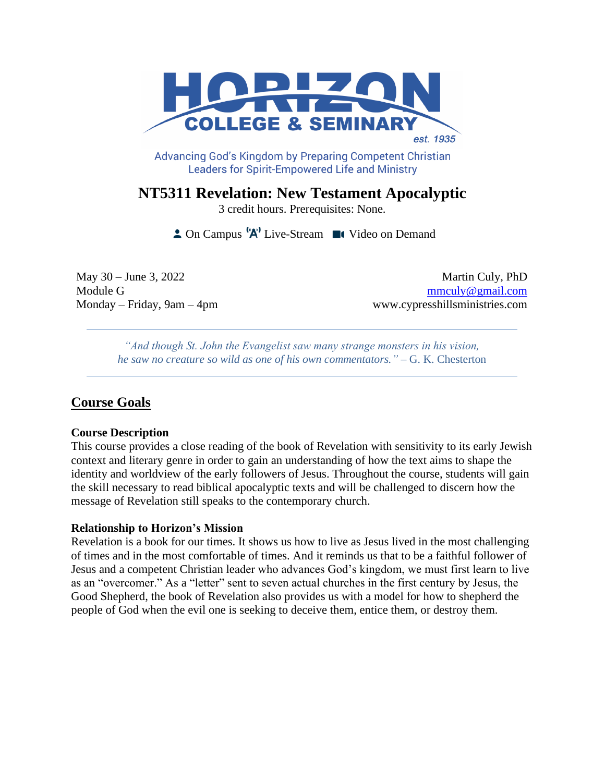

Advancing God's Kingdom by Preparing Competent Christian **Leaders for Spirit-Empowered Life and Ministry** 

**NT5311 Revelation: New Testament Apocalyptic**

3 credit hours. Prerequisites: None.

 $\triangle$  On Campus  $^1A^1$  Live-Stream  $\blacksquare$  Video on Demand

May 30 – June 3, 2022 Martin Culy, PhD Module G mmculy @ gmail.com Monday – Friday, 9am – 4pm www.cypresshillsministries.com

*"And though St. John the Evangelist saw many strange monsters in his vision, he saw no creature so wild as one of his own commentators."* – G. K. Chesterton

# **Course Goals**

## **Course Description**

This course provides a close reading of the book of Revelation with sensitivity to its early Jewish context and literary genre in order to gain an understanding of how the text aims to shape the identity and worldview of the early followers of Jesus. Throughout the course, students will gain the skill necessary to read biblical apocalyptic texts and will be challenged to discern how the message of Revelation still speaks to the contemporary church.

## **Relationship to Horizon's Mission**

Revelation is a book for our times. It shows us how to live as Jesus lived in the most challenging of times and in the most comfortable of times. And it reminds us that to be a faithful follower of Jesus and a competent Christian leader who advances God's kingdom, we must first learn to live as an "overcomer." As a "letter" sent to seven actual churches in the first century by Jesus, the Good Shepherd, the book of Revelation also provides us with a model for how to shepherd the people of God when the evil one is seeking to deceive them, entice them, or destroy them.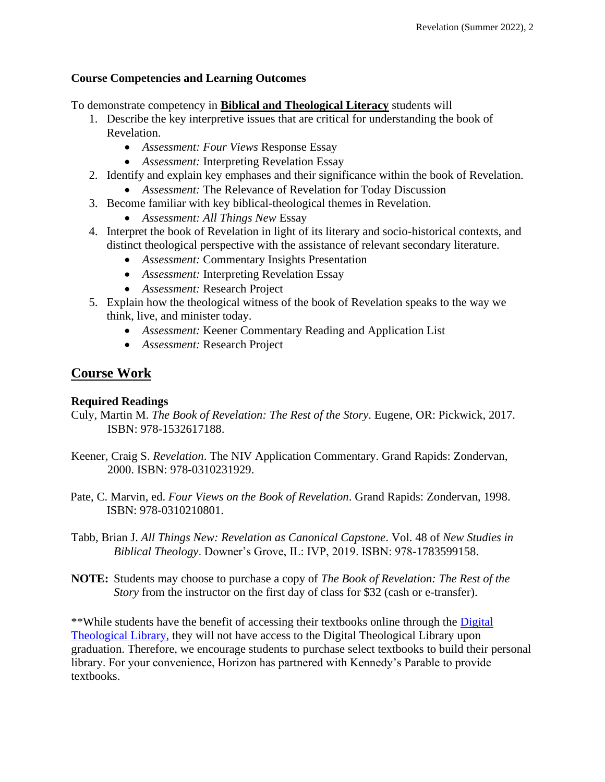## **Course Competencies and Learning Outcomes**

To demonstrate competency in **Biblical and Theological Literacy** students will

- 1. Describe the key interpretive issues that are critical for understanding the book of Revelation.
	- *Assessment: Four Views* Response Essay
	- *Assessment:* Interpreting Revelation Essay
- 2. Identify and explain key emphases and their significance within the book of Revelation.
	- *Assessment:* The Relevance of Revelation for Today Discussion
- 3. Become familiar with key biblical-theological themes in Revelation.
	- *Assessment: All Things New* Essay
- 4. Interpret the book of Revelation in light of its literary and socio-historical contexts, and distinct theological perspective with the assistance of relevant secondary literature.
	- *Assessment:* Commentary Insights Presentation
	- *Assessment:* Interpreting Revelation Essay
	- *Assessment:* Research Project
- 5. Explain how the theological witness of the book of Revelation speaks to the way we think, live, and minister today.
	- *Assessment:* Keener Commentary Reading and Application List
	- *Assessment:* Research Project

# **Course Work**

## **Required Readings**

- Culy, Martin M. *The Book of Revelation: The Rest of the Story*. Eugene, OR: Pickwick, 2017. ISBN: 978-1532617188.
- Keener, Craig S. *Revelation*. The NIV Application Commentary. Grand Rapids: Zondervan, 2000. ISBN: 978-0310231929.
- Pate, C. Marvin, ed. *Four Views on the Book of Revelation*. Grand Rapids: Zondervan, 1998. ISBN: 978-0310210801.
- Tabb, Brian J. *All Things New: Revelation as Canonical Capstone*. Vol. 48 of *New Studies in Biblical Theology*. Downer's Grove, IL: IVP, 2019. ISBN: 978-1783599158.
- **NOTE:** Students may choose to purchase a copy of *The Book of Revelation: The Rest of the Story* from the instructor on the first day of class for \$32 (cash or e-transfer).

\*\*While students have the benefit of accessing their textbooks online through the [Digital](https://saskatoon.mlasolutions.com/m5/catalog/(S(3h21syce2tpjqj0wea2rbnzr))/Default.aspx?installation=HRZN)  [Theological Library,](https://saskatoon.mlasolutions.com/m5/catalog/(S(3h21syce2tpjqj0wea2rbnzr))/Default.aspx?installation=HRZN) they will not have access to the Digital Theological Library upon graduation. Therefore, we encourage students to purchase select textbooks to build their personal library. For your convenience, Horizon has partnered with Kennedy's Parable to provide textbooks.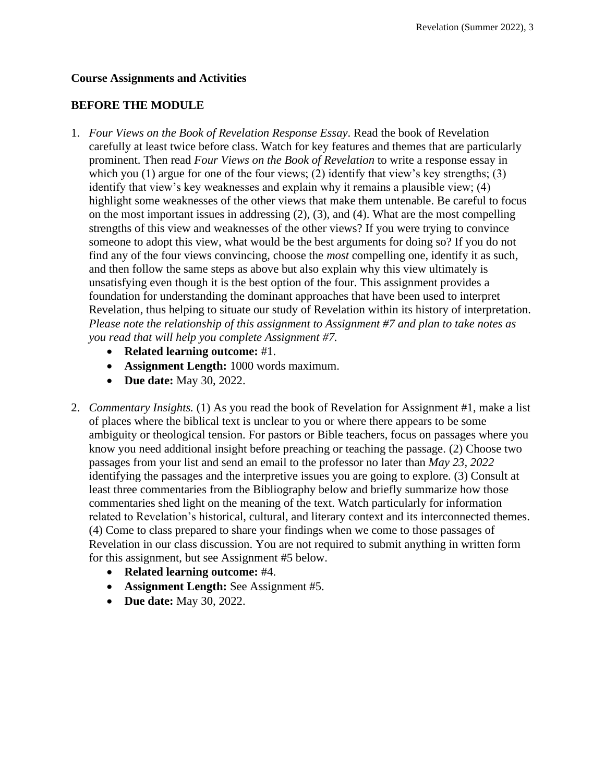## **Course Assignments and Activities**

## **BEFORE THE MODULE**

- 1. *Four Views on the Book of Revelation Response Essay*. Read the book of Revelation carefully at least twice before class. Watch for key features and themes that are particularly prominent. Then read *Four Views on the Book of Revelation* to write a response essay in which you (1) argue for one of the four views; (2) identify that view's key strengths; (3) identify that view's key weaknesses and explain why it remains a plausible view; (4) highlight some weaknesses of the other views that make them untenable. Be careful to focus on the most important issues in addressing (2), (3), and (4). What are the most compelling strengths of this view and weaknesses of the other views? If you were trying to convince someone to adopt this view, what would be the best arguments for doing so? If you do not find any of the four views convincing, choose the *most* compelling one, identify it as such, and then follow the same steps as above but also explain why this view ultimately is unsatisfying even though it is the best option of the four. This assignment provides a foundation for understanding the dominant approaches that have been used to interpret Revelation, thus helping to situate our study of Revelation within its history of interpretation. *Please note the relationship of this assignment to Assignment #7 and plan to take notes as you read that will help you complete Assignment #7.*
	- **Related learning outcome:** #1.
	- **Assignment Length:** 1000 words maximum.
	- **Due date:** May 30, 2022.
- 2. *Commentary Insights.* (1) As you read the book of Revelation for Assignment #1, make a list of places where the biblical text is unclear to you or where there appears to be some ambiguity or theological tension. For pastors or Bible teachers, focus on passages where you know you need additional insight before preaching or teaching the passage. (2) Choose two passages from your list and send an email to the professor no later than *May 23, 2022* identifying the passages and the interpretive issues you are going to explore. (3) Consult at least three commentaries from the Bibliography below and briefly summarize how those commentaries shed light on the meaning of the text. Watch particularly for information related to Revelation's historical, cultural, and literary context and its interconnected themes. (4) Come to class prepared to share your findings when we come to those passages of Revelation in our class discussion. You are not required to submit anything in written form for this assignment, but see Assignment #5 below.
	- **Related learning outcome:** #4.
	- **Assignment Length:** See Assignment #5.
	- **Due date:** May 30, 2022.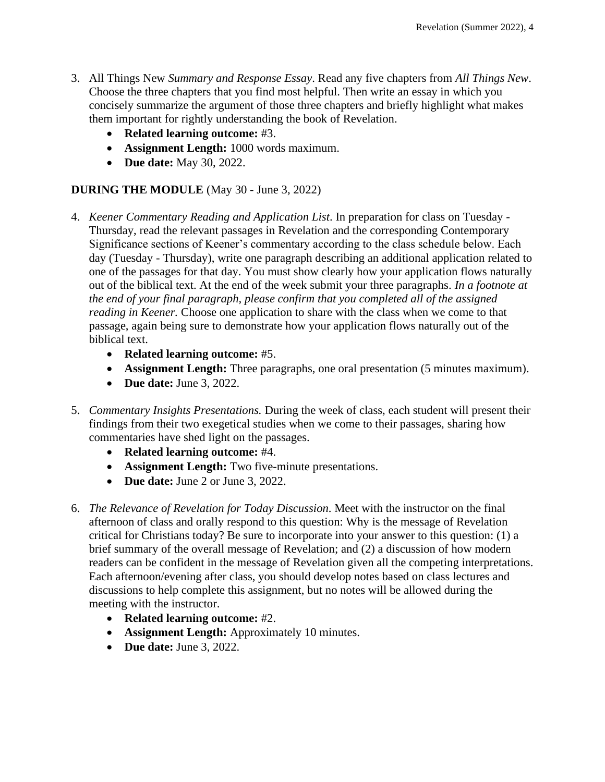- 3. All Things New *Summary and Response Essay*. Read any five chapters from *All Things New*. Choose the three chapters that you find most helpful. Then write an essay in which you concisely summarize the argument of those three chapters and briefly highlight what makes them important for rightly understanding the book of Revelation.
	- **Related learning outcome:** #3.
	- **Assignment Length:** 1000 words maximum.
	- **Due date:** May 30, 2022.

## **DURING THE MODULE** (May 30 - June 3, 2022)

- 4. *Keener Commentary Reading and Application List*. In preparation for class on Tuesday Thursday, read the relevant passages in Revelation and the corresponding Contemporary Significance sections of Keener's commentary according to the class schedule below. Each day (Tuesday - Thursday), write one paragraph describing an additional application related to one of the passages for that day. You must show clearly how your application flows naturally out of the biblical text. At the end of the week submit your three paragraphs. *In a footnote at the end of your final paragraph, please confirm that you completed all of the assigned reading in Keener.* Choose one application to share with the class when we come to that passage, again being sure to demonstrate how your application flows naturally out of the biblical text.
	- **Related learning outcome:** #5.
	- **Assignment Length:** Three paragraphs, one oral presentation (5 minutes maximum).
	- **Due date:** June 3, 2022.
- 5. *Commentary Insights Presentations.* During the week of class, each student will present their findings from their two exegetical studies when we come to their passages, sharing how commentaries have shed light on the passages.
	- **Related learning outcome:** #4.
	- **Assignment Length:** Two five-minute presentations.
	- **Due date:** June 2 or June 3, 2022.
- 6. *The Relevance of Revelation for Today Discussion*. Meet with the instructor on the final afternoon of class and orally respond to this question: Why is the message of Revelation critical for Christians today? Be sure to incorporate into your answer to this question: (1) a brief summary of the overall message of Revelation; and (2) a discussion of how modern readers can be confident in the message of Revelation given all the competing interpretations. Each afternoon/evening after class, you should develop notes based on class lectures and discussions to help complete this assignment, but no notes will be allowed during the meeting with the instructor.
	- **Related learning outcome:** #2.
	- **Assignment Length:** Approximately 10 minutes.
	- **Due date:** June 3, 2022.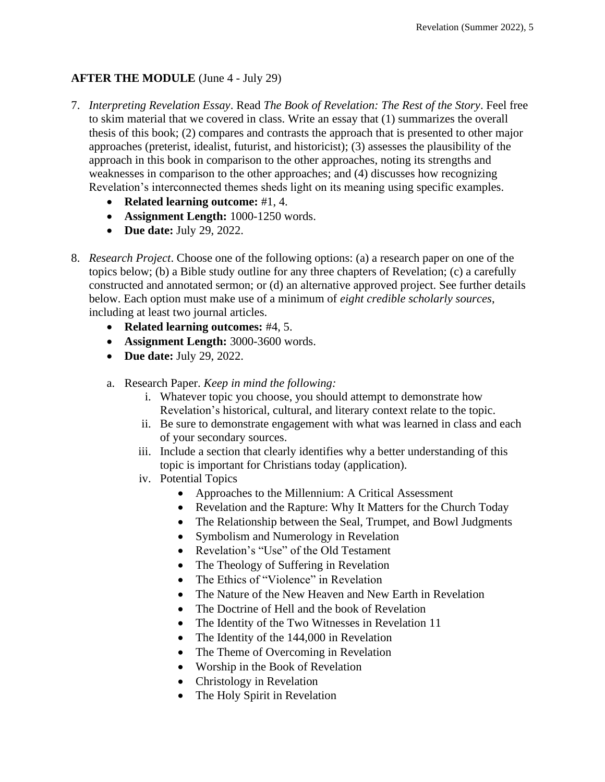# **AFTER THE MODULE** (June 4 - July 29)

- 7. *Interpreting Revelation Essay*. Read *The Book of Revelation: The Rest of the Story*. Feel free to skim material that we covered in class. Write an essay that (1) summarizes the overall thesis of this book; (2) compares and contrasts the approach that is presented to other major approaches (preterist, idealist, futurist, and historicist); (3) assesses the plausibility of the approach in this book in comparison to the other approaches, noting its strengths and weaknesses in comparison to the other approaches; and (4) discusses how recognizing Revelation's interconnected themes sheds light on its meaning using specific examples.
	- **Related learning outcome:** #1, 4.
	- **Assignment Length:** 1000-1250 words.
	- **Due date:** July 29, 2022.
- 8. *Research Project*. Choose one of the following options: (a) a research paper on one of the topics below; (b) a Bible study outline for any three chapters of Revelation; (c) a carefully constructed and annotated sermon; or (d) an alternative approved project. See further details below. Each option must make use of a minimum of *eight credible scholarly sources*, including at least two journal articles.
	- **Related learning outcomes:** #4, 5.
	- **Assignment Length:** 3000-3600 words.
	- **Due date:** July 29, 2022.
	- a. Research Paper. *Keep in mind the following:*
		- i. Whatever topic you choose, you should attempt to demonstrate how Revelation's historical, cultural, and literary context relate to the topic.
		- ii. Be sure to demonstrate engagement with what was learned in class and each of your secondary sources.
		- iii. Include a section that clearly identifies why a better understanding of this topic is important for Christians today (application).
		- iv. Potential Topics
			- Approaches to the Millennium: A Critical Assessment
			- Revelation and the Rapture: Why It Matters for the Church Today
			- The Relationship between the Seal, Trumpet, and Bowl Judgments
			- Symbolism and Numerology in Revelation
			- Revelation's "Use" of the Old Testament
			- The Theology of Suffering in Revelation
			- The Ethics of "Violence" in Revelation
			- The Nature of the New Heaven and New Earth in Revelation
			- The Doctrine of Hell and the book of Revelation
			- The Identity of the Two Witnesses in Revelation 11
			- The Identity of the 144,000 in Revelation
			- The Theme of Overcoming in Revelation
			- Worship in the Book of Revelation
			- Christology in Revelation
			- The Holy Spirit in Revelation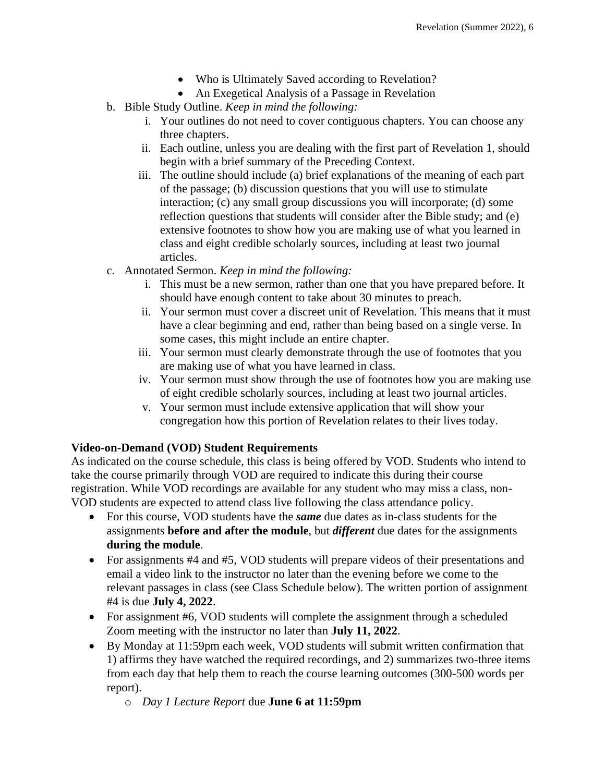- Who is Ultimately Saved according to Revelation?
- An Exegetical Analysis of a Passage in Revelation
- b. Bible Study Outline. *Keep in mind the following:*
	- i. Your outlines do not need to cover contiguous chapters. You can choose any three chapters.
	- ii. Each outline, unless you are dealing with the first part of Revelation 1, should begin with a brief summary of the Preceding Context.
	- iii. The outline should include (a) brief explanations of the meaning of each part of the passage; (b) discussion questions that you will use to stimulate interaction; (c) any small group discussions you will incorporate; (d) some reflection questions that students will consider after the Bible study; and (e) extensive footnotes to show how you are making use of what you learned in class and eight credible scholarly sources, including at least two journal articles.
- c. Annotated Sermon. *Keep in mind the following:*
	- i. This must be a new sermon, rather than one that you have prepared before. It should have enough content to take about 30 minutes to preach.
	- ii. Your sermon must cover a discreet unit of Revelation. This means that it must have a clear beginning and end, rather than being based on a single verse. In some cases, this might include an entire chapter.
	- iii. Your sermon must clearly demonstrate through the use of footnotes that you are making use of what you have learned in class.
	- iv. Your sermon must show through the use of footnotes how you are making use of eight credible scholarly sources, including at least two journal articles.
	- v. Your sermon must include extensive application that will show your congregation how this portion of Revelation relates to their lives today.

## **Video-on-Demand (VOD) Student Requirements**

As indicated on the course schedule, this class is being offered by VOD. Students who intend to take the course primarily through VOD are required to indicate this during their course registration. While VOD recordings are available for any student who may miss a class, non-VOD students are expected to attend class live following the class attendance policy.

- For this course, VOD students have the *same* due dates as in-class students for the assignments **before and after the module**, but *different* due dates for the assignments **during the module**.
- For assignments #4 and #5, VOD students will prepare videos of their presentations and email a video link to the instructor no later than the evening before we come to the relevant passages in class (see Class Schedule below). The written portion of assignment #4 is due **July 4, 2022**.
- For assignment #6, VOD students will complete the assignment through a scheduled Zoom meeting with the instructor no later than **July 11, 2022**.
- By Monday at 11:59pm each week, VOD students will submit written confirmation that 1) affirms they have watched the required recordings, and 2) summarizes two-three items from each day that help them to reach the course learning outcomes (300-500 words per report).
	- o *Day 1 Lecture Report* due **June 6 at 11:59pm**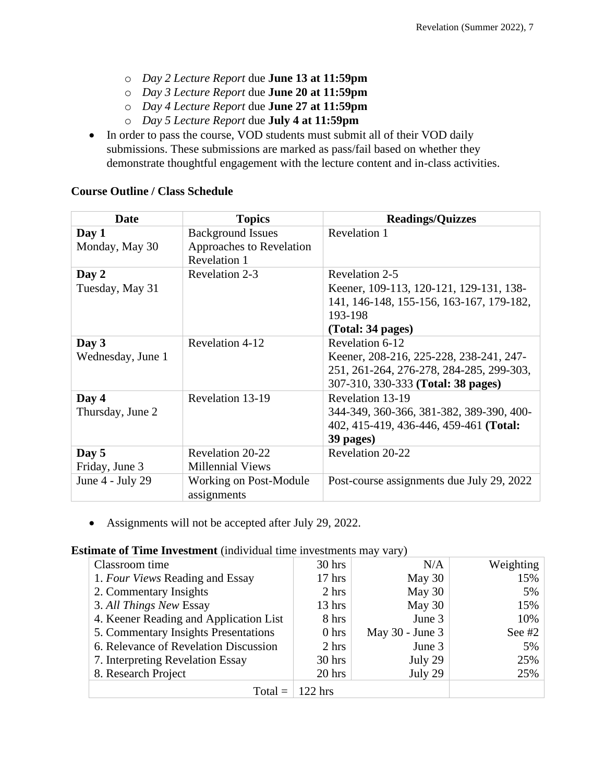- o *Day 2 Lecture Report* due **June 13 at 11:59pm**
- o *Day 3 Lecture Report* due **June 20 at 11:59pm**
- o *Day 4 Lecture Report* due **June 27 at 11:59pm**
- o *Day 5 Lecture Report* due **July 4 at 11:59pm**
- In order to pass the course, VOD students must submit all of their VOD daily submissions. These submissions are marked as pass/fail based on whether they demonstrate thoughtful engagement with the lecture content and in-class activities.

#### **Course Outline / Class Schedule**

| <b>Date</b>                | <b>Topics</b>                                                               | <b>Readings/Quizzes</b>                                                                                                                      |
|----------------------------|-----------------------------------------------------------------------------|----------------------------------------------------------------------------------------------------------------------------------------------|
| Day 1<br>Monday, May 30    | <b>Background Issues</b><br>Approaches to Revelation<br><b>Revelation 1</b> | Revelation 1                                                                                                                                 |
| Day 2<br>Tuesday, May 31   | Revelation 2-3                                                              | Revelation 2-5<br>Keener, 109-113, 120-121, 129-131, 138-<br>141, 146-148, 155-156, 163-167, 179-182,<br>193-198<br>(Total: 34 pages)        |
| Day 3<br>Wednesday, June 1 | Revelation 4-12                                                             | Revelation 6-12<br>Keener, 208-216, 225-228, 238-241, 247-<br>251, 261-264, 276-278, 284-285, 299-303,<br>307-310, 330-333 (Total: 38 pages) |
| Day 4<br>Thursday, June 2  | Revelation 13-19                                                            | Revelation 13-19<br>344-349, 360-366, 381-382, 389-390, 400-<br>402, 415-419, 436-446, 459-461 (Total:<br>39 pages)                          |
| Day 5<br>Friday, June 3    | Revelation 20-22<br><b>Millennial Views</b>                                 | Revelation 20-22                                                                                                                             |
| June $4$ - July 29         | Working on Post-Module<br>assignments                                       | Post-course assignments due July 29, 2022                                                                                                    |

• Assignments will not be accepted after July 29, 2022.

#### **Estimate of Time Investment** (individual time investments may vary)

| Classroom time                         | 30 hrs           | N/A                 | Weighting |
|----------------------------------------|------------------|---------------------|-----------|
| 1. Four Views Reading and Essay        | $17$ hrs         | May $30$            | 15%       |
| 2. Commentary Insights                 | 2 hrs            | May 30              | 5%        |
| 3. All Things New Essay                | $13$ hrs         | May $30$            | 15%       |
| 4. Keener Reading and Application List | 8 hrs            | June 3              | 10%       |
| 5. Commentary Insights Presentations   | 0 <sub>hrs</sub> | May $30$ - June $3$ | See $#2$  |
| 6. Relevance of Revelation Discussion  | 2 hrs            | June 3              | 5%        |
| 7. Interpreting Revelation Essay       | $30$ hrs         | July 29             | 25%       |
| 8. Research Project                    | 20 hrs           | July 29             | 25%       |
| $Total =$                              | $122$ hrs        |                     |           |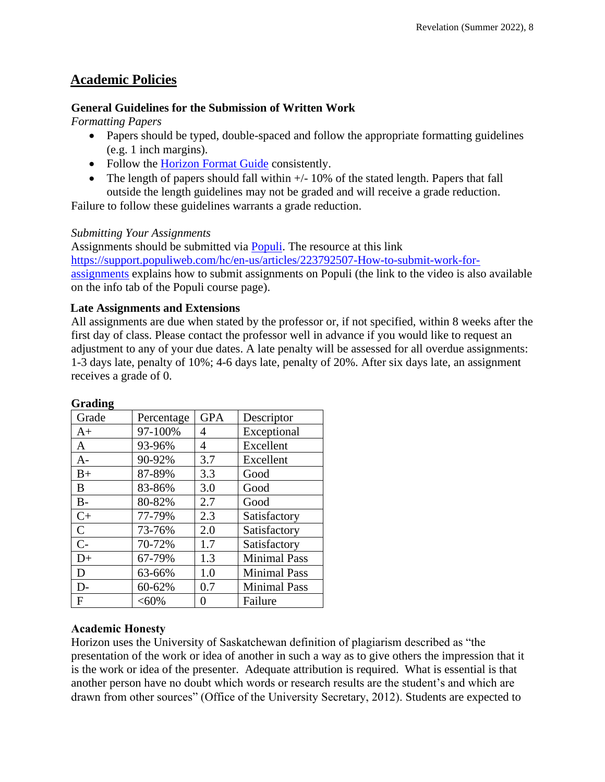# **Academic Policies**

## **General Guidelines for the Submission of Written Work**

*Formatting Papers* 

- Papers should be typed, double-spaced and follow the appropriate formatting guidelines (e.g. 1 inch margins).
- Follow the [Horizon Format Guide](https://www.horizon.edu/students/resources/) consistently.
- The length of papers should fall within  $+/-10\%$  of the stated length. Papers that fall outside the length guidelines may not be graded and will receive a grade reduction.

Failure to follow these guidelines warrants a grade reduction.

## *Submitting Your Assignments*

Assignments should be submitted via [Populi.](https://horizon.populiweb.com/) The resource at this link [https://support.populiweb.com/hc/en-us/articles/223792507-How-to-submit-work-for](https://support.populiweb.com/hc/en-us/articles/223792507-How-to-submit-work-for-assignments)[assignments](https://support.populiweb.com/hc/en-us/articles/223792507-How-to-submit-work-for-assignments) explains how to submit assignments on Populi (the link to the video is also available on the info tab of the Populi course page).

## **Late Assignments and Extensions**

All assignments are due when stated by the professor or, if not specified, within 8 weeks after the first day of class. Please contact the professor well in advance if you would like to request an adjustment to any of your due dates. A late penalty will be assessed for all overdue assignments: 1-3 days late, penalty of 10%; 4-6 days late, penalty of 20%. After six days late, an assignment receives a grade of 0.

| Grade        | Percentage | <b>GPA</b> | Descriptor          |
|--------------|------------|------------|---------------------|
| $_{\rm A+}$  | 97-100%    | 4          | Exceptional         |
| A            | 93-96%     | 4          | Excellent           |
| A-           | 90-92%     | 3.7        | Excellent           |
| $B+$         | 87-89%     | 3.3        | Good                |
| B            | 83-86%     | 3.0        | Good                |
| $B -$        | 80-82%     | 2.7        | Good                |
| $C+$         | 77-79%     | 2.3        | Satisfactory        |
| $\mathsf{C}$ | 73-76%     | 2.0        | Satisfactory        |
| $C-$         | 70-72%     | 1.7        | Satisfactory        |
| $D+$         | 67-79%     | 1.3        | <b>Minimal Pass</b> |
| D            | 63-66%     | 1.0        | <b>Minimal Pass</b> |
| $D-$         | 60-62%     | 0.7        | <b>Minimal Pass</b> |
| F            | $<,60\%$   | 0          | Failure             |

## **Grading**

## **Academic Honesty**

Horizon uses the University of Saskatchewan definition of plagiarism described as "the presentation of the work or idea of another in such a way as to give others the impression that it is the work or idea of the presenter. Adequate attribution is required. What is essential is that another person have no doubt which words or research results are the student's and which are drawn from other sources" (Office of the University Secretary, 2012). Students are expected to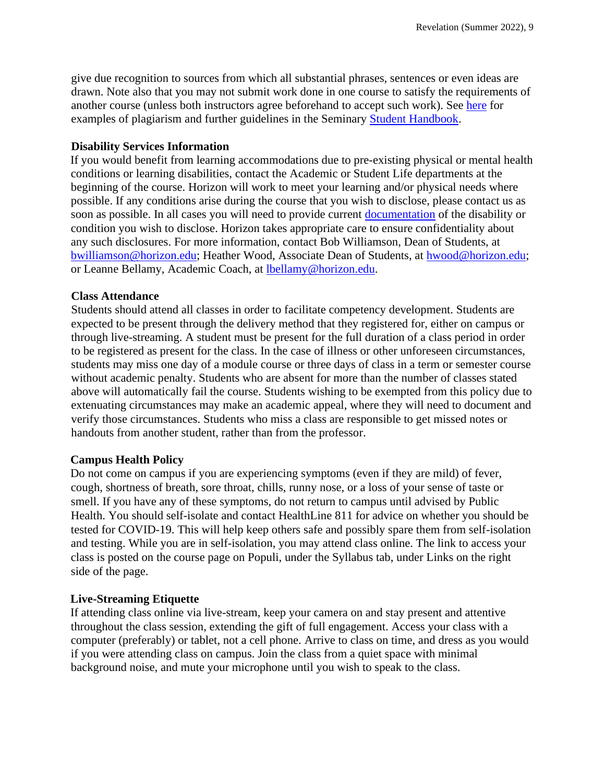give due recognition to sources from which all substantial phrases, sentences or even ideas are drawn. Note also that you may not submit work done in one course to satisfy the requirements of another course (unless both instructors agree beforehand to accept such work). See [here](http://www.turnitin.com/assets/en_us/media/plagiarism_spectrum.php) for examples of plagiarism and further guidelines in the Seminary [Student Handbook.](https://www.horizon.edu/students/resources/)

#### **Disability Services Information**

If you would benefit from learning accommodations due to pre-existing physical or mental health conditions or learning disabilities, contact the Academic or Student Life departments at the beginning of the course. Horizon will work to meet your learning and/or physical needs where possible. If any conditions arise during the course that you wish to disclose, please contact us as soon as possible. In all cases you will need to provide current [documentation](https://www.horizon.edu/students/support/) of the disability or condition you wish to disclose. Horizon takes appropriate care to ensure confidentiality about any such disclosures. For more information, contact Bob Williamson, Dean of Students, at [bwilliamson@horizon.edu;](mailto:bwilliamson@horizon.edu) Heather Wood, Associate Dean of Students, at [hwood@horizon.edu;](mailto:hwood@horizon.edu) or Leanne Bellamy, Academic Coach, at [lbellamy@horizon.edu.](mailto:lbellamy@horizon.edu)

#### **Class Attendance**

Students should attend all classes in order to facilitate competency development. Students are expected to be present through the delivery method that they registered for, either on campus or through live-streaming. A student must be present for the full duration of a class period in order to be registered as present for the class. In the case of illness or other unforeseen circumstances, students may miss one day of a module course or three days of class in a term or semester course without academic penalty. Students who are absent for more than the number of classes stated above will automatically fail the course. Students wishing to be exempted from this policy due to extenuating circumstances may make an academic appeal, where they will need to document and verify those circumstances. Students who miss a class are responsible to get missed notes or handouts from another student, rather than from the professor.

## **Campus Health Policy**

Do not come on campus if you are experiencing symptoms (even if they are mild) of fever, cough, shortness of breath, sore throat, chills, runny nose, or a loss of your sense of taste or smell. If you have any of these symptoms, do not return to campus until advised by Public Health. You should self-isolate and contact HealthLine 811 for advice on whether you should be tested for COVID-19. This will help keep others safe and possibly spare them from self-isolation and testing. While you are in self-isolation, you may attend class online. The link to access your class is posted on the course page on Populi, under the Syllabus tab, under Links on the right side of the page.

#### **Live-Streaming Etiquette**

If attending class online via live-stream, keep your camera on and stay present and attentive throughout the class session, extending the gift of full engagement. Access your class with a computer (preferably) or tablet, not a cell phone. Arrive to class on time, and dress as you would if you were attending class on campus. Join the class from a quiet space with minimal background noise, and mute your microphone until you wish to speak to the class.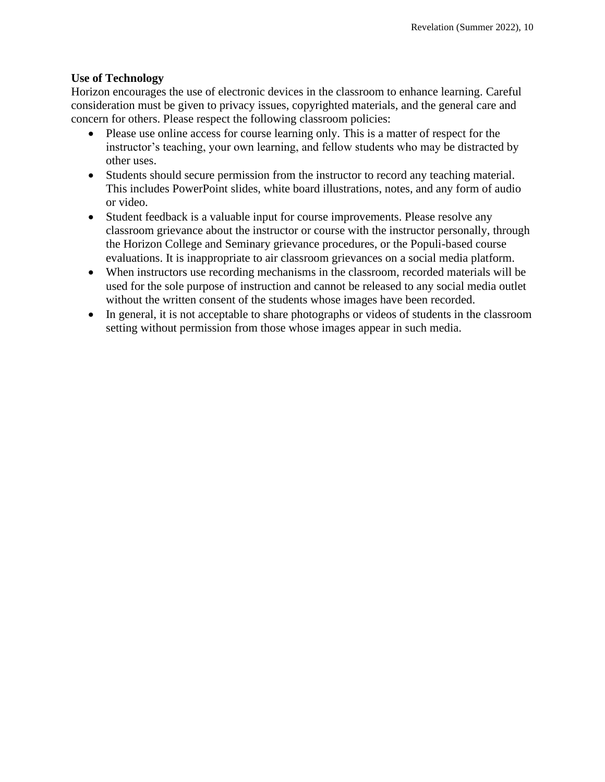## **Use of Technology**

Horizon encourages the use of electronic devices in the classroom to enhance learning. Careful consideration must be given to privacy issues, copyrighted materials, and the general care and concern for others. Please respect the following classroom policies:

- Please use online access for course learning only. This is a matter of respect for the instructor's teaching, your own learning, and fellow students who may be distracted by other uses.
- Students should secure permission from the instructor to record any teaching material. This includes PowerPoint slides, white board illustrations, notes, and any form of audio or video.
- Student feedback is a valuable input for course improvements. Please resolve any classroom grievance about the instructor or course with the instructor personally, through the Horizon College and Seminary grievance procedures, or the Populi-based course evaluations. It is inappropriate to air classroom grievances on a social media platform.
- When instructors use recording mechanisms in the classroom, recorded materials will be used for the sole purpose of instruction and cannot be released to any social media outlet without the written consent of the students whose images have been recorded.
- In general, it is not acceptable to share photographs or videos of students in the classroom setting without permission from those whose images appear in such media.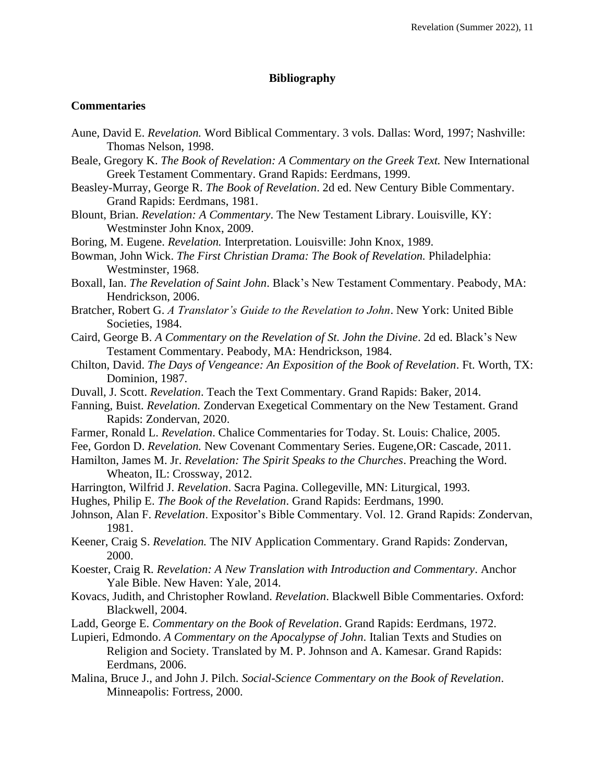#### **Bibliography**

#### **Commentaries**

- Aune, David E. *Revelation.* Word Biblical Commentary. 3 vols. Dallas: Word, 1997; Nashville: Thomas Nelson, 1998.
- Beale, Gregory K. *The Book of Revelation: A Commentary on the Greek Text*. New International Greek Testament Commentary. Grand Rapids: Eerdmans, 1999.
- Beasley-Murray, George R. *The Book of Revelation*. 2d ed. New Century Bible Commentary. Grand Rapids: Eerdmans, 1981.
- Blount, Brian. *Revelation: A Commentary*. The New Testament Library. Louisville, KY: Westminster John Knox, 2009.
- Boring, M. Eugene. *Revelation.* Interpretation. Louisville: John Knox, 1989.
- Bowman, John Wick. *The First Christian Drama: The Book of Revelation.* Philadelphia: Westminster, 1968.
- Boxall, Ian. *The Revelation of Saint John*. Black's New Testament Commentary. Peabody, MA: Hendrickson, 2006.
- Bratcher, Robert G. *A Translator's Guide to the Revelation to John*. New York: United Bible Societies, 1984.
- Caird, George B. *A Commentary on the Revelation of St. John the Divine*. 2d ed. Black's New Testament Commentary. Peabody, MA: Hendrickson, 1984.
- Chilton, David. *The Days of Vengeance: An Exposition of the Book of Revelation*. Ft. Worth, TX: Dominion, 1987.
- Duvall, J. Scott. *Revelation*. Teach the Text Commentary. Grand Rapids: Baker, 2014.
- Fanning, Buist. *Revelation.* Zondervan Exegetical Commentary on the New Testament. Grand Rapids: Zondervan, 2020.
- Farmer, Ronald L. *Revelation*. Chalice Commentaries for Today. St. Louis: Chalice, 2005.
- Fee, Gordon D. *Revelation.* New Covenant Commentary Series. Eugene,OR: Cascade, 2011.
- Hamilton, James M. Jr. *Revelation: The Spirit Speaks to the Churches*. Preaching the Word. Wheaton, IL: Crossway, 2012.
- Harrington, Wilfrid J. *Revelation*. Sacra Pagina. Collegeville, MN: Liturgical, 1993.
- Hughes, Philip E. *The Book of the Revelation*. Grand Rapids: Eerdmans, 1990.
- Johnson, Alan F. *Revelation*. Expositor's Bible Commentary. Vol. 12. Grand Rapids: Zondervan, 1981.
- Keener, Craig S. *Revelation.* The NIV Application Commentary. Grand Rapids: Zondervan, 2000.
- Koester, Craig R*. Revelation: A New Translation with Introduction and Commentary*. Anchor Yale Bible. New Haven: Yale, 2014.
- Kovacs, Judith, and Christopher Rowland. *Revelation*. Blackwell Bible Commentaries. Oxford: Blackwell, 2004.
- Ladd, George E. *Commentary on the Book of Revelation*. Grand Rapids: Eerdmans, 1972.
- Lupieri, Edmondo. *A Commentary on the Apocalypse of John*. Italian Texts and Studies on Religion and Society. Translated by M. P. Johnson and A. Kamesar. Grand Rapids: Eerdmans, 2006.
- Malina, Bruce J., and John J. Pilch. *Social-Science Commentary on the Book of Revelation*. Minneapolis: Fortress, 2000.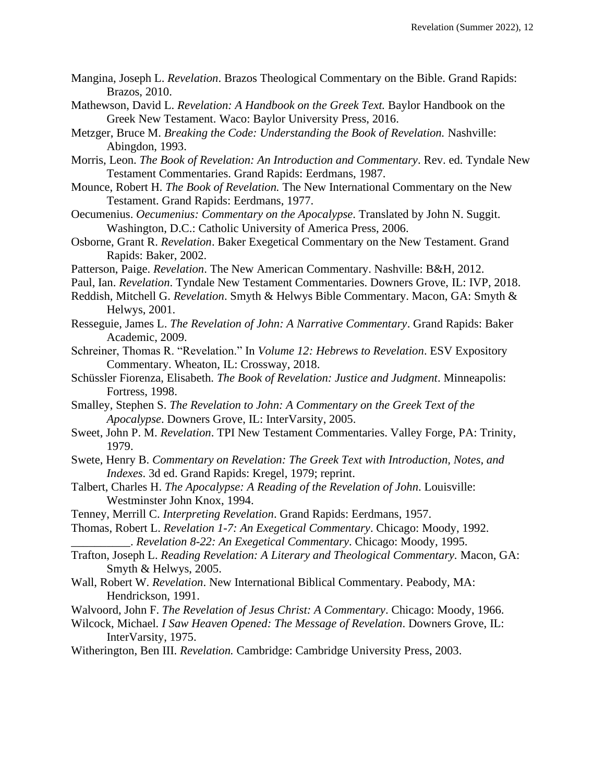- Mangina, Joseph L. *Revelation*. Brazos Theological Commentary on the Bible. Grand Rapids: Brazos, 2010.
- Mathewson, David L. *Revelation: A Handbook on the Greek Text.* Baylor Handbook on the Greek New Testament. Waco: Baylor University Press, 2016.
- Metzger, Bruce M. *Breaking the Code: Understanding the Book of Revelation*. Nashville: Abingdon, 1993.
- Morris, Leon. *The Book of Revelation: An Introduction and Commentary*. Rev. ed. Tyndale New Testament Commentaries. Grand Rapids: Eerdmans, 1987.
- Mounce, Robert H. *The Book of Revelation.* The New International Commentary on the New Testament. Grand Rapids: Eerdmans, 1977.
- Oecumenius. *Oecumenius: Commentary on the Apocalypse*. Translated by John N. Suggit. Washington, D.C.: Catholic University of America Press, 2006.
- Osborne, Grant R. *Revelation*. Baker Exegetical Commentary on the New Testament. Grand Rapids: Baker, 2002.
- Patterson, Paige. *Revelation*. The New American Commentary. Nashville: B&H, 2012.
- Paul, Ian. *Revelation*. Tyndale New Testament Commentaries. Downers Grove, IL: IVP, 2018.
- Reddish, Mitchell G. *Revelation*. Smyth & Helwys Bible Commentary. Macon, GA: Smyth & Helwys, 2001.
- Resseguie, James L. *The Revelation of John: A Narrative Commentary*. Grand Rapids: Baker Academic, 2009.
- Schreiner, Thomas R. "Revelation." In *Volume 12: Hebrews to Revelation*. ESV Expository Commentary. Wheaton, IL: Crossway, 2018.
- Schüssler Fiorenza, Elisabeth. *The Book of Revelation: Justice and Judgment*. Minneapolis: Fortress, 1998.
- Smalley, Stephen S. *The Revelation to John: A Commentary on the Greek Text of the Apocalypse*. Downers Grove, IL: InterVarsity, 2005.
- Sweet, John P. M. *Revelation*. TPI New Testament Commentaries. Valley Forge, PA: Trinity, 1979.
- Swete, Henry B. *Commentary on Revelation: The Greek Text with Introduction, Notes, and Indexes*. 3d ed. Grand Rapids: Kregel, 1979; reprint.
- Talbert, Charles H. *The Apocalypse: A Reading of the Revelation of John*. Louisville: Westminster John Knox, 1994.
- Tenney, Merrill C. *Interpreting Revelation*. Grand Rapids: Eerdmans, 1957.
- Thomas, Robert L. *Revelation 1-7: An Exegetical Commentary*. Chicago: Moody, 1992. \_\_\_\_\_\_\_\_\_\_. *Revelation 8-22: An Exegetical Commentary*. Chicago: Moody, 1995.
- Trafton, Joseph L. *Reading Revelation: A Literary and Theological Commentary.* Macon, GA: Smyth & Helwys, 2005.
- Wall, Robert W. *Revelation*. New International Biblical Commentary. Peabody, MA: Hendrickson, 1991.
- Walvoord, John F. *The Revelation of Jesus Christ: A Commentary*. Chicago: Moody, 1966.
- Wilcock, Michael*. I Saw Heaven Opened: The Message of Revelation*. Downers Grove, IL: InterVarsity, 1975.
- Witherington, Ben III. *Revelation.* Cambridge: Cambridge University Press, 2003.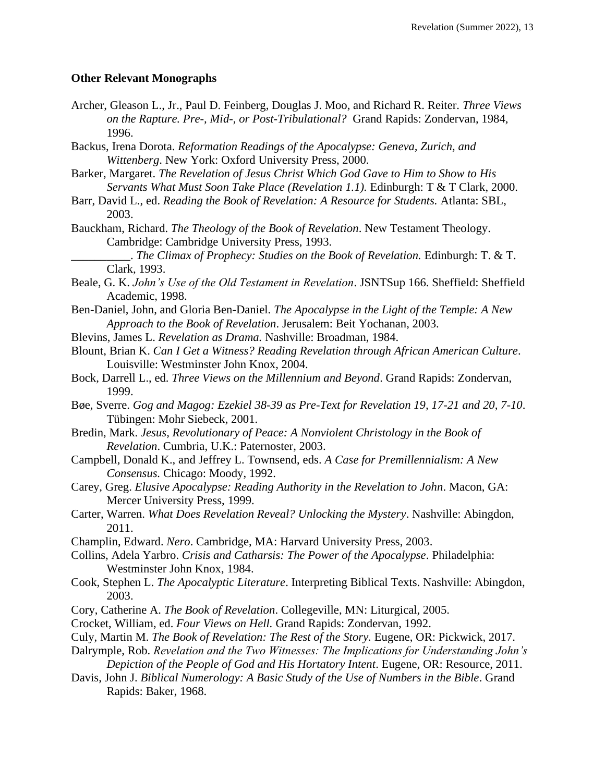#### **Other Relevant Monographs**

- Archer, Gleason L., Jr., Paul D. Feinberg, Douglas J. Moo, and Richard R. Reiter. *Three Views on the Rapture. Pre-, Mid-, or Post-Tribulational?* Grand Rapids: Zondervan, 1984, 1996.
- Backus, Irena Dorota. *Reformation Readings of the Apocalypse: Geneva, Zurich, and Wittenberg*. New York: Oxford University Press, 2000.
- Barker, Margaret. *The Revelation of Jesus Christ Which God Gave to Him to Show to His Servants What Must Soon Take Place (Revelation 1.1).* Edinburgh: T & T Clark, 2000.
- Barr, David L., ed. *Reading the Book of Revelation: A Resource for Students.* Atlanta: SBL, 2003.
- Bauckham, Richard. *The Theology of the Book of Revelation*. New Testament Theology. Cambridge: Cambridge University Press, 1993.

\_\_\_\_\_\_\_\_\_\_. *The Climax of Prophecy: Studies on the Book of Revelation.* Edinburgh: T. & T. Clark, 1993.

- Beale, G. K. *John's Use of the Old Testament in Revelation*. JSNTSup 166. Sheffield: Sheffield Academic, 1998.
- Ben-Daniel, John, and Gloria Ben-Daniel. *The Apocalypse in the Light of the Temple: A New Approach to the Book of Revelation*. Jerusalem: Beit Yochanan, 2003.
- Blevins, James L. *Revelation as Drama.* Nashville: Broadman, 1984.
- Blount, Brian K. *Can I Get a Witness? Reading Revelation through African American Culture*. Louisville: Westminster John Knox, 2004.
- Bock, Darrell L., ed. *Three Views on the Millennium and Beyond*. Grand Rapids: Zondervan, 1999.
- Bøe, Sverre. *Gog and Magog: Ezekiel 38-39 as Pre-Text for Revelation 19, 17-21 and 20, 7-10*. Tübingen: Mohr Siebeck, 2001.
- Bredin, Mark. *Jesus, Revolutionary of Peace: A Nonviolent Christology in the Book of Revelation*. Cumbria, U.K.: Paternoster, 2003.
- Campbell, Donald K., and Jeffrey L. Townsend, eds. *A Case for Premillennialism: A New Consensus.* Chicago: Moody, 1992.
- Carey, Greg. *Elusive Apocalypse: Reading Authority in the Revelation to John*. Macon, GA: Mercer University Press, 1999.
- Carter, Warren. *What Does Revelation Reveal? Unlocking the Mystery*. Nashville: Abingdon, 2011.
- Champlin, Edward. *Nero*. Cambridge, MA: Harvard University Press, 2003.
- Collins, Adela Yarbro. *Crisis and Catharsis: The Power of the Apocalypse*. Philadelphia: Westminster John Knox, 1984.
- Cook, Stephen L. *The Apocalyptic Literature*. Interpreting Biblical Texts. Nashville: Abingdon, 2003.
- Cory, Catherine A. *The Book of Revelation*. Collegeville, MN: Liturgical, 2005.
- Crocket, William, ed. *Four Views on Hell.* Grand Rapids: Zondervan, 1992.
- Culy, Martin M. *The Book of Revelation: The Rest of the Story.* Eugene, OR: Pickwick, 2017.
- Dalrymple, Rob. *Revelation and the Two Witnesses: The Implications for Understanding John's Depiction of the People of God and His Hortatory Intent*. Eugene, OR: Resource, 2011.
- Davis, John J. *Biblical Numerology: A Basic Study of the Use of Numbers in the Bible*. Grand Rapids: Baker, 1968.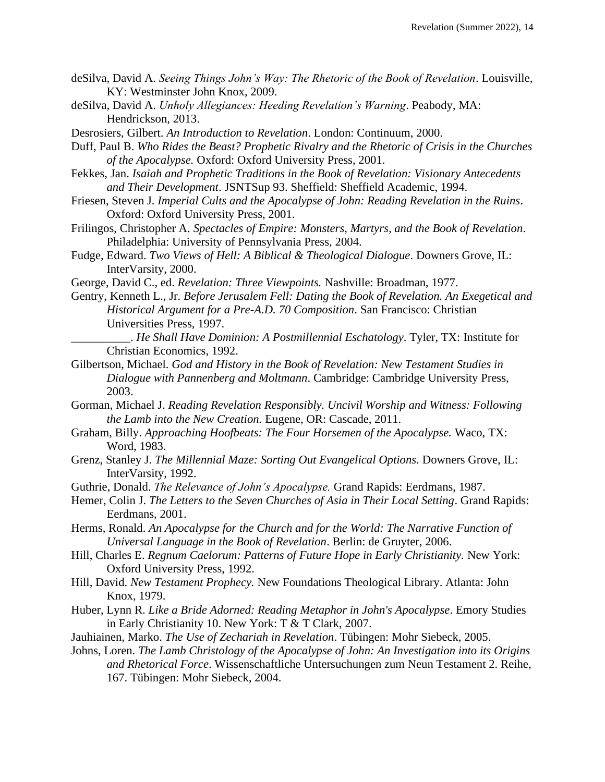- deSilva, David A. *Seeing Things John's Way: The Rhetoric of the Book of Revelation*. Louisville, KY: Westminster John Knox, 2009.
- deSilva, David A. *Unholy Allegiances: Heeding Revelation's Warning*. Peabody, MA: Hendrickson, 2013.
- Desrosiers, Gilbert. *An Introduction to Revelation*. London: Continuum, 2000.
- Duff, Paul B. *Who Rides the Beast? Prophetic Rivalry and the Rhetoric of Crisis in the Churches of the Apocalypse.* Oxford: Oxford University Press, 2001.
- Fekkes, Jan. *Isaiah and Prophetic Traditions in the Book of Revelation: Visionary Antecedents and Their Development*. JSNTSup 93. Sheffield: Sheffield Academic, 1994.
- Friesen, Steven J. *Imperial Cults and the Apocalypse of John: Reading Revelation in the Ruins*. Oxford: Oxford University Press, 2001.
- Frilingos, Christopher A. *Spectacles of Empire: Monsters, Martyrs, and the Book of Revelation*. Philadelphia: University of Pennsylvania Press, 2004.
- Fudge, Edward. *Two Views of Hell: A Biblical & Theological Dialogue*. Downers Grove, IL: InterVarsity, 2000.
- George, David C., ed. *Revelation: Three Viewpoints.* Nashville: Broadman, 1977.
- Gentry, Kenneth L., Jr. *Before Jerusalem Fell: Dating the Book of Revelation. An Exegetical and Historical Argument for a Pre-A.D. 70 Composition*. San Francisco: Christian Universities Press, 1997.
	- \_\_\_\_\_\_\_\_\_\_. *He Shall Have Dominion: A Postmillennial Eschatology*. Tyler, TX: Institute for Christian Economics, 1992.
- Gilbertson, Michael. *God and History in the Book of Revelation: New Testament Studies in Dialogue with Pannenberg and Moltmann*. Cambridge: Cambridge University Press, 2003.
- Gorman, Michael J. *Reading Revelation Responsibly. Uncivil Worship and Witness: Following the Lamb into the New Creation.* Eugene, OR: Cascade, 2011.
- Graham, Billy. *Approaching Hoofbeats: The Four Horsemen of the Apocalypse.* Waco, TX: Word, 1983.
- Grenz, Stanley J. *The Millennial Maze: Sorting Out Evangelical Options*. Downers Grove, IL: InterVarsity, 1992.
- Guthrie, Donald. *The Relevance of John's Apocalypse.* Grand Rapids: Eerdmans, 1987.
- Hemer, Colin J. *The Letters to the Seven Churches of Asia in Their Local Setting*. Grand Rapids: Eerdmans, 2001.
- Herms, Ronald. *An Apocalypse for the Church and for the World: The Narrative Function of Universal Language in the Book of Revelation*. Berlin: de Gruyter, 2006.
- Hill, Charles E. *Regnum Caelorum: Patterns of Future Hope in Early Christianity.* New York: Oxford University Press, 1992.
- Hill, David. *New Testament Prophecy.* New Foundations Theological Library. Atlanta: John Knox, 1979.
- Huber, Lynn R. *Like a Bride Adorned: Reading Metaphor in John's Apocalypse*. Emory Studies in Early Christianity 10. New York: T & T Clark, 2007.
- Jauhiainen, Marko. *The Use of Zechariah in Revelation*. Tübingen: Mohr Siebeck, 2005.
- Johns, Loren. *The Lamb Christology of the Apocalypse of John: An Investigation into its Origins and Rhetorical Force*. Wissenschaftliche Untersuchungen zum Neun Testament 2. Reihe, 167. Tübingen: Mohr Siebeck, 2004.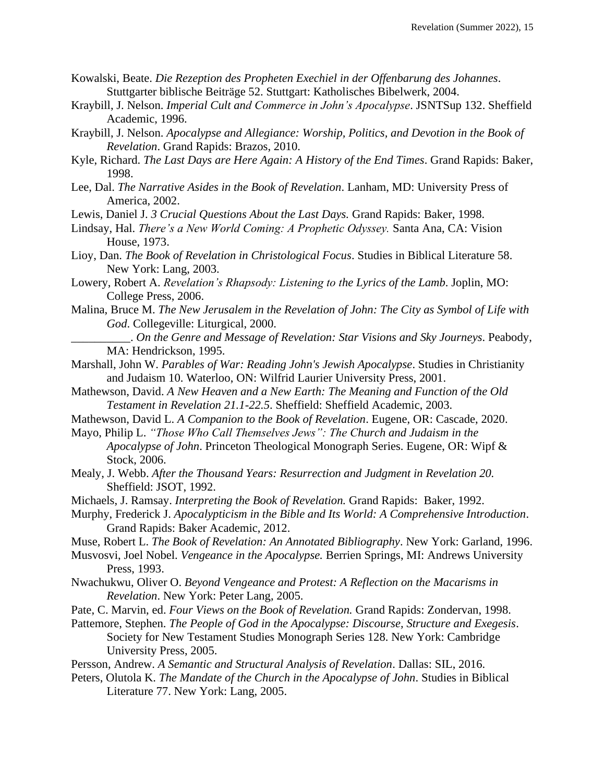- Kowalski, Beate. *Die Rezeption des Propheten Exechiel in der Offenbarung des Johannes*. Stuttgarter biblische Beiträge 52. Stuttgart: Katholisches Bibelwerk, 2004.
- Kraybill, J. Nelson. *Imperial Cult and Commerce in John's Apocalypse*. JSNTSup 132. Sheffield Academic, 1996.
- Kraybill, J. Nelson. *Apocalypse and Allegiance: Worship, Politics, and Devotion in the Book of Revelation*. Grand Rapids: Brazos, 2010.
- Kyle, Richard. *The Last Days are Here Again: A History of the End Times*. Grand Rapids: Baker, 1998.
- Lee, Dal. *The Narrative Asides in the Book of Revelation*. Lanham, MD: University Press of America, 2002.

Lewis, Daniel J. *3 Crucial Questions About the Last Days.* Grand Rapids: Baker, 1998.

- Lindsay, Hal. *There's a New World Coming: A Prophetic Odyssey.* Santa Ana, CA: Vision House, 1973.
- Lioy, Dan. *The Book of Revelation in Christological Focus*. Studies in Biblical Literature 58. New York: Lang, 2003.
- Lowery, Robert A. *Revelation's Rhapsody: Listening to the Lyrics of the Lamb*. Joplin, MO: College Press, 2006.
- Malina, Bruce M. *The New Jerusalem in the Revelation of John: The City as Symbol of Life with God*. Collegeville: Liturgical, 2000.
	- \_\_\_\_\_\_\_\_\_\_. *On the Genre and Message of Revelation: Star Visions and Sky Journeys*. Peabody, MA: Hendrickson, 1995.
- Marshall, John W. *Parables of War: Reading John's Jewish Apocalypse*. Studies in Christianity and Judaism 10. Waterloo, ON: Wilfrid Laurier University Press, 2001.
- Mathewson, David. *A New Heaven and a New Earth: The Meaning and Function of the Old Testament in Revelation 21.1-22.5*. Sheffield: Sheffield Academic, 2003.
- Mathewson, David L. *A Companion to the Book of Revelation*. Eugene, OR: Cascade, 2020.
- Mayo, Philip L. *"Those Who Call Themselves Jews": The Church and Judaism in the Apocalypse of John*. Princeton Theological Monograph Series. Eugene, OR: Wipf & Stock, 2006.
- Mealy, J. Webb. *After the Thousand Years: Resurrection and Judgment in Revelation 20.*  Sheffield: JSOT, 1992.
- Michaels, J. Ramsay. *Interpreting the Book of Revelation.* Grand Rapids: Baker, 1992.
- Murphy, Frederick J. *Apocalypticism in the Bible and Its World: A Comprehensive Introduction*. Grand Rapids: Baker Academic, 2012.
- Muse, Robert L. *The Book of Revelation: An Annotated Bibliography*. New York: Garland, 1996.
- Musvosvi, Joel Nobel. *Vengeance in the Apocalypse.* Berrien Springs, MI: Andrews University Press, 1993.
- Nwachukwu, Oliver O. *Beyond Vengeance and Protest: A Reflection on the Macarisms in Revelation*. New York: Peter Lang, 2005.
- Pate, C. Marvin, ed. *Four Views on the Book of Revelation.* Grand Rapids: Zondervan, 1998.
- Pattemore, Stephen. *The People of God in the Apocalypse: Discourse, Structure and Exegesis*. Society for New Testament Studies Monograph Series 128. New York: Cambridge University Press, 2005.
- Persson, Andrew. *A Semantic and Structural Analysis of Revelation*. Dallas: SIL, 2016.
- Peters, Olutola K. *The Mandate of the Church in the Apocalypse of John*. Studies in Biblical Literature 77. New York: Lang, 2005.